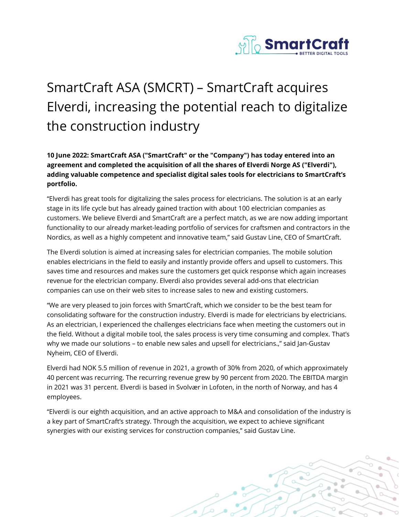

## SmartCraft ASA (SMCRT) – SmartCraft acquires Elverdi, increasing the potential reach to digitalize the construction industry

## **10 June 2022: SmartCraft ASA ("SmartCraft" or the "Company") has today entered into an agreement and completed the acquisition of all the shares of Elverdi Norge AS ("Elverdi"), adding valuable competence and specialist digital sales tools for electricians to SmartCraft's portfolio.**

"Elverdi has great tools for digitalizing the sales process for electricians. The solution is at an early stage in its life cycle but has already gained traction with about 100 electrician companies as customers. We believe Elverdi and SmartCraft are a perfect match, as we are now adding important functionality to our already market-leading portfolio of services for craftsmen and contractors in the Nordics, as well as a highly competent and innovative team," said Gustav Line, CEO of SmartCraft.

The Elverdi solution is aimed at increasing sales for electrician companies. The mobile solution enables electricians in the field to easily and instantly provide offers and upsell to customers. This saves time and resources and makes sure the customers get quick response which again increases revenue for the electrician company. Elverdi also provides several add-ons that electrician companies can use on their web sites to increase sales to new and existing customers.

"We are very pleased to join forces with SmartCraft, which we consider to be the best team for consolidating software for the construction industry. Elverdi is made for electricians by electricians. As an electrician, I experienced the challenges electricians face when meeting the customers out in the field. Without a digital mobile tool, the sales process is very time consuming and complex. That's why we made our solutions – to enable new sales and upsell for electricians.," said Jan-Gustav Nyheim, CEO of Elverdi.

Elverdi had NOK 5.5 million of revenue in 2021, a growth of 30% from 2020, of which approximately 40 percent was recurring. The recurring revenue grew by 90 percent from 2020. The EBITDA margin in 2021 was 31 percent. Elverdi is based in Svolvær in Lofoten, in the north of Norway, and has 4 employees.

"Elverdi is our eighth acquisition, and an active approach to M&A and consolidation of the industry is a key part of SmartCraft's strategy. Through the acquisition, we expect to achieve significant synergies with our existing services for construction companies," said Gustav Line.